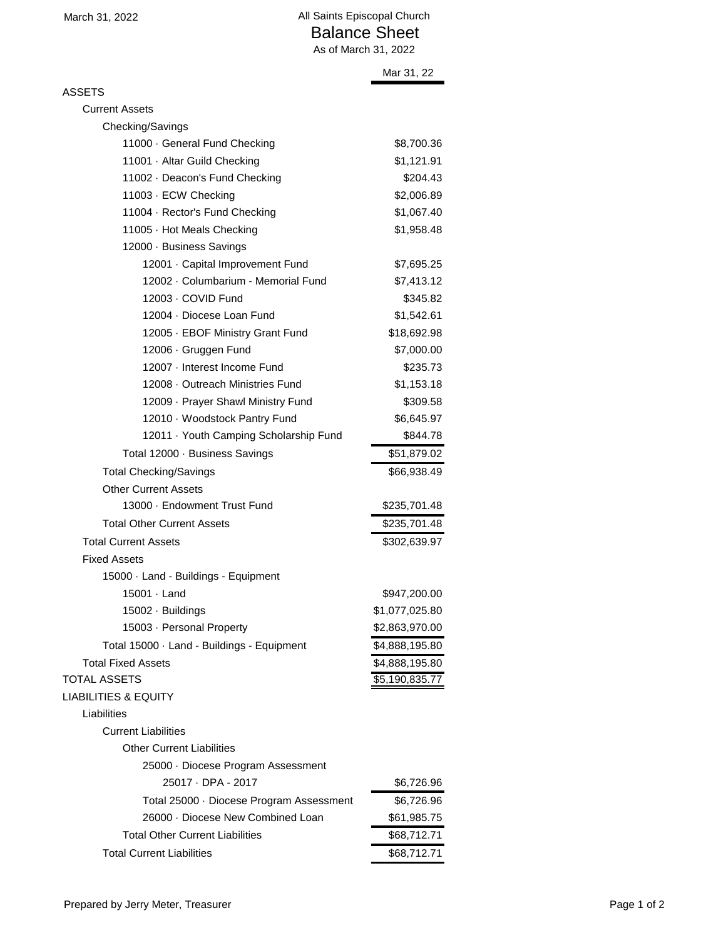|                                        | As of March 31, 2022 |  |
|----------------------------------------|----------------------|--|
|                                        | Mar 31, 22           |  |
| <b>ASSETS</b>                          |                      |  |
| <b>Current Assets</b>                  |                      |  |
| Checking/Savings                       |                      |  |
| 11000 · General Fund Checking          | \$8,700.36           |  |
| 11001 · Altar Guild Checking           | \$1,121.91           |  |
| 11002 · Deacon's Fund Checking         | \$204.43             |  |
| 11003 · ECW Checking                   | \$2,006.89           |  |
| 11004 · Rector's Fund Checking         | \$1,067.40           |  |
| 11005 · Hot Meals Checking             | \$1,958.48           |  |
| 12000 · Business Savings               |                      |  |
| 12001 · Capital Improvement Fund       | \$7,695.25           |  |
| 12002 · Columbarium - Memorial Fund    | \$7,413.12           |  |
| 12003 - COVID Fund                     | \$345.82             |  |
| 12004 · Diocese Loan Fund              | \$1,542.61           |  |
| 12005 · EBOF Ministry Grant Fund       | \$18,692.98          |  |
| 12006 · Gruggen Fund                   | \$7,000.00           |  |
| 12007 · Interest Income Fund           | \$235.73             |  |
| 12008 - Outreach Ministries Fund       | \$1,153.18           |  |
| 12009 · Prayer Shawl Ministry Fund     | \$309.58             |  |
| 12010 · Woodstock Pantry Fund          | \$6,645.97           |  |
| 12011 · Youth Camping Scholarship Fund | \$844.78             |  |
| Total 12000 · Business Savings         | \$51,879.02          |  |
| <b>Total Checking/Savings</b>          | \$66,938.49          |  |
| <b>Other Current Assets</b>            |                      |  |
| 13000 · Endowment Trust Fund           | \$235,701.48         |  |
| <b>Total Other Current Assets</b>      | \$235,701.48         |  |

## Total Current Assets \$302,639.97 Fixed Assets

| 15000 · Land - Buildings - Equipment       |                   |
|--------------------------------------------|-------------------|
| $15001 \cdot$ Land                         | \$947,200.00      |
| 15002 · Buildings                          | \$1,077,025.80    |
| 15003 · Personal Property                  | \$2,863,970.00    |
| Total 15000 · Land - Buildings - Equipment | \$4,888,195.80    |
| <b>Total Fixed Assets</b>                  | \$4,888,195.80    |
| <b>TOTAL ASSETS</b>                        | \$5,190,835.77    |
| <b>LIABILITIES &amp; EQUITY</b>            |                   |
| Liabilities                                |                   |
| <b>Current Liabilities</b>                 |                   |
| <b>Other Current Liabilities</b>           |                   |
| 25000 Diocese Program Assessment           |                   |
| רוחת החם דוחות                             | <b>ሮ</b> ድ 79ድ ሰድ |